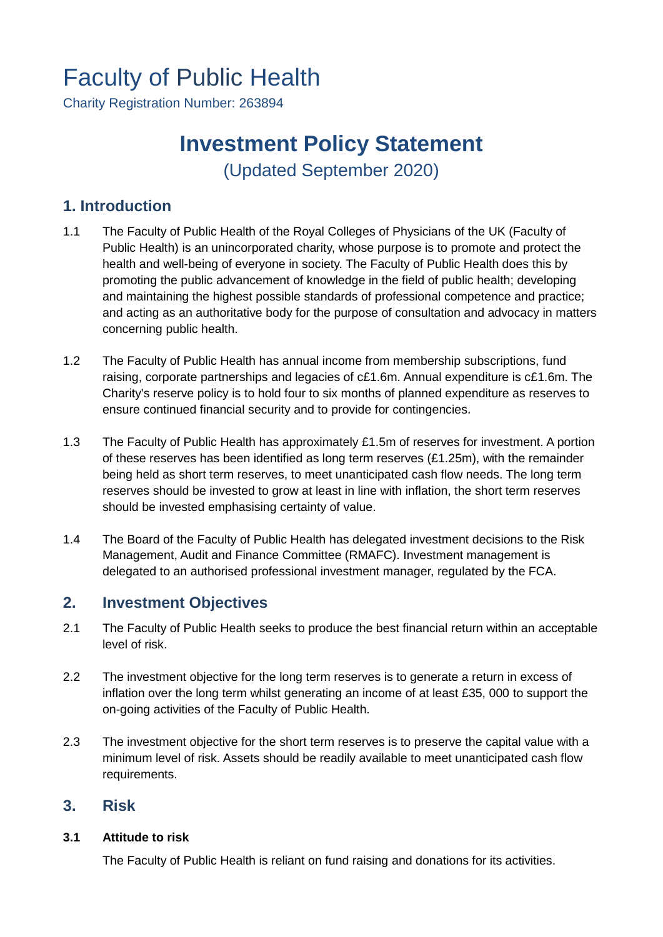# Faculty of Public Health

Charity Registration Number: 263894

## **Investment Policy Statement** (Updated September 2020)

## **1. Introduction**

- 1.1 The Faculty of Public Health of the Royal Colleges of Physicians of the UK (Faculty of Public Health) is an unincorporated charity, whose purpose is to promote and protect the health and well-being of everyone in society. The Faculty of Public Health does this by promoting the public advancement of knowledge in the field of public health; developing and maintaining the highest possible standards of professional competence and practice; and acting as an authoritative body for the purpose of consultation and advocacy in matters concerning public health.
- 1.2 The Faculty of Public Health has annual income from membership subscriptions, fund raising, corporate partnerships and legacies of c£1.6m. Annual expenditure is c£1.6m. The Charity's reserve policy is to hold four to six months of planned expenditure as reserves to ensure continued financial security and to provide for contingencies.
- 1.3 The Faculty of Public Health has approximately £1.5m of reserves for investment. A portion of these reserves has been identified as long term reserves (£1.25m), with the remainder being held as short term reserves, to meet unanticipated cash flow needs. The long term reserves should be invested to grow at least in line with inflation, the short term reserves should be invested emphasising certainty of value.
- 1.4 The Board of the Faculty of Public Health has delegated investment decisions to the Risk Management, Audit and Finance Committee (RMAFC). Investment management is delegated to an authorised professional investment manager, regulated by the FCA.

## **2. Investment Objectives**

- 2.1 The Faculty of Public Health seeks to produce the best financial return within an acceptable level of risk.
- 2.2 The investment objective for the long term reserves is to generate a return in excess of inflation over the long term whilst generating an income of at least £35, 000 to support the on-going activities of the Faculty of Public Health.
- 2.3 The investment objective for the short term reserves is to preserve the capital value with a minimum level of risk. Assets should be readily available to meet unanticipated cash flow requirements.

## **3. Risk**

#### **3.1 Attitude to risk**

The Faculty of Public Health is reliant on fund raising and donations for its activities.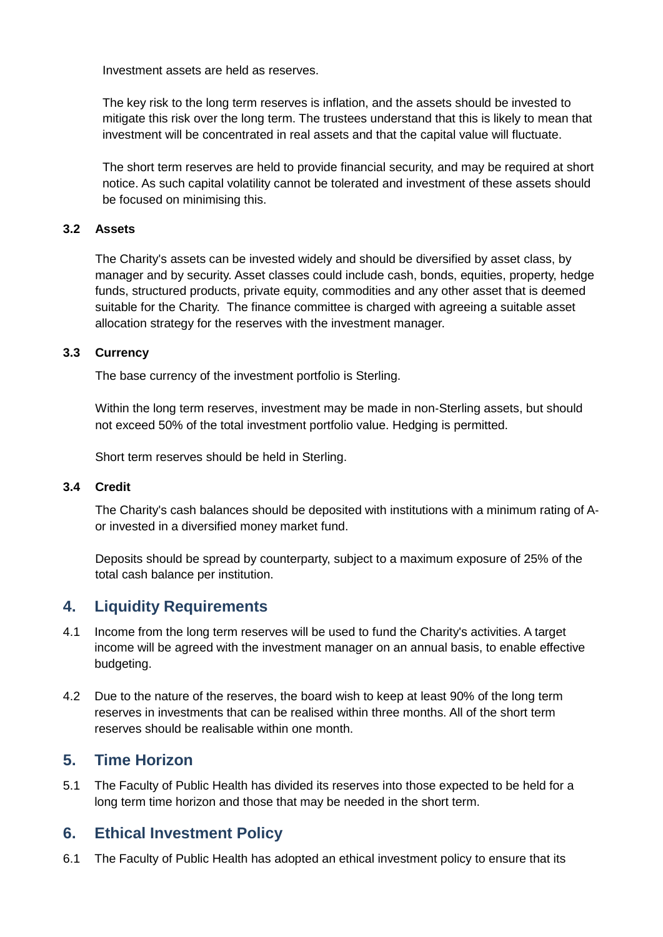Investment assets are held as reserves.

The key risk to the long term reserves is inflation, and the assets should be invested to mitigate this risk over the long term. The trustees understand that this is likely to mean that investment will be concentrated in real assets and that the capital value will fluctuate.

The short term reserves are held to provide financial security, and may be required at short notice. As such capital volatility cannot be tolerated and investment of these assets should be focused on minimising this.

#### **3.2 Assets**

The Charity's assets can be invested widely and should be diversified by asset class, by manager and by security. Asset classes could include cash, bonds, equities, property, hedge funds, structured products, private equity, commodities and any other asset that is deemed suitable for the Charity. The finance committee is charged with agreeing a suitable asset allocation strategy for the reserves with the investment manager.

#### **3.3 Currency**

The base currency of the investment portfolio is Sterling.

Within the long term reserves, investment may be made in non‐Sterling assets, but should not exceed 50% of the total investment portfolio value. Hedging is permitted.

Short term reserves should be held in Sterling.

#### **3.4 Credit**

The Charity's cash balances should be deposited with institutions with a minimum rating of A‐ or invested in a diversified money market fund.

Deposits should be spread by counterparty, subject to a maximum exposure of 25% of the total cash balance per institution.

## **4. Liquidity Requirements**

- 4.1 Income from the long term reserves will be used to fund the Charity's activities. A target income will be agreed with the investment manager on an annual basis, to enable effective budgeting.
- 4.2 Due to the nature of the reserves, the board wish to keep at least 90% of the long term reserves in investments that can be realised within three months. All of the short term reserves should be realisable within one month.

## **5. Time Horizon**

5.1 The Faculty of Public Health has divided its reserves into those expected to be held for a long term time horizon and those that may be needed in the short term.

## **6. Ethical Investment Policy**

6.1 The Faculty of Public Health has adopted an ethical investment policy to ensure that its